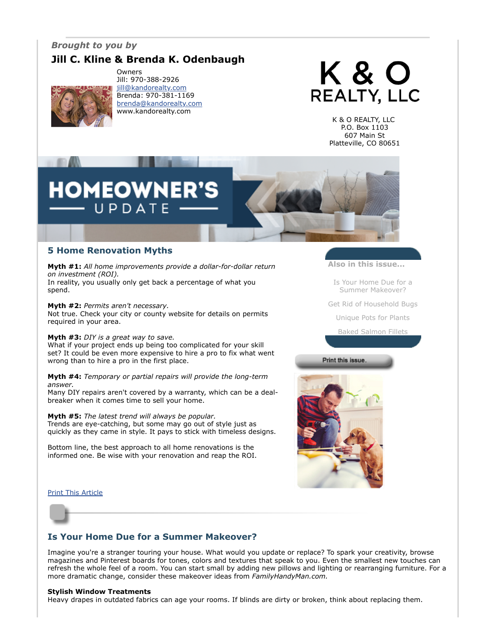## *Brought to you by*

# **Jill C. Kline & Brenda K. Odenbaugh**



Owners Jill: 970-388-2926 [jill@kandorealty.com](mailto:jill@kandorealty.com) Brenda: 970-381-1169 [brenda@kandorealty.com](mailto:brenda@kandorealty.com) www.kandorealty.com



K & O REALTY, LLC P.O. Box 1103 607 Main St Platteville, CO 80651

# **HOMEOWN** U P D A T E

## **5 Home Renovation Myths**

**Myth #1:** *All home improvements provide a dollar-for-dollar return on investment (ROI).* In reality, you usually only get back a percentage of what you

spend.

**Myth #2:** *Permits aren't necessary.*

Not true. Check your city or county website for details on permits required in your area.

## **Myth #3:** *DIY is a great way to save.*

What if your project ends up being too complicated for your skill set? It could be even more expensive to hire a pro to fix what went wrong than to hire a pro in the first place.

**Myth #4:** *Temporary or partial repairs will provide the long-term answer.*

Many DIY repairs aren't covered by a warranty, which can be a dealbreaker when it comes time to sell your home.

**Myth #5:** *The latest trend will always be popular.* Trends are eye-catching, but some may go out of style just as quickly as they came in style. It pays to stick with timeless designs.

Bottom line, the best approach to all home renovations is the informed one. Be wise with your renovation and reap the ROI. **Also in this issue...**

[Is Your Home Due for a](#page-0-0) Summer Makeover?

[Get Rid of Household Bugs](#page-1-0)

[Unique Pots for Plants](#page-1-1)

[Baked Salmon Fillets](#page-2-0)

## Print this issue



[Print This Article](javascript:print();)



## <span id="page-0-0"></span>**Is Your Home Due for a Summer Makeover?**

Imagine you're a stranger touring your house. What would you update or replace? To spark your creativity, browse magazines and Pinterest boards for tones, colors and textures that speak to you. Even the smallest new touches can refresh the whole feel of a room. You can start small by adding new pillows and lighting or rearranging furniture. For a more dramatic change, consider these makeover ideas from *FamilyHandyMan.com.* 

## **Stylish Window Treatments**

Heavy drapes in outdated fabrics can age your rooms. If blinds are dirty or broken, think about replacing them.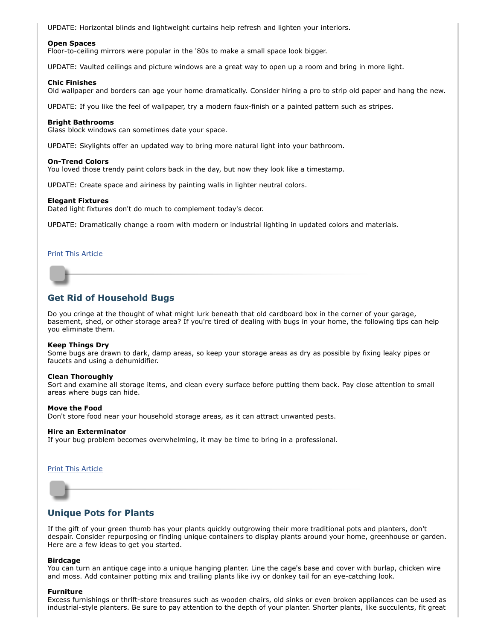UPDATE: Horizontal blinds and lightweight curtains help refresh and lighten your interiors.

## **Open Spaces**

Floor-to-ceiling mirrors were popular in the '80s to make a small space look bigger.

UPDATE: Vaulted ceilings and picture windows are a great way to open up a room and bring in more light.

## **Chic Finishes**

Old wallpaper and borders can age your home dramatically. Consider hiring a pro to strip old paper and hang the new.

UPDATE: If you like the feel of wallpaper, try a modern faux-finish or a painted pattern such as stripes.

## **Bright Bathrooms**

Glass block windows can sometimes date your space.

UPDATE: Skylights offer an updated way to bring more natural light into your bathroom.

## **On-Trend Colors**

You loved those trendy paint colors back in the day, but now they look like a timestamp.

UPDATE: Create space and airiness by painting walls in lighter neutral colors.

## **Elegant Fixtures**

Dated light fixtures don't do much to complement today's decor.

UPDATE: Dramatically change a room with modern or industrial lighting in updated colors and materials.

## [Print This Article](javascript:print();)

## <span id="page-1-0"></span>**Get Rid of Household Bugs**

Do you cringe at the thought of what might lurk beneath that old cardboard box in the corner of your garage, basement, shed, or other storage area? If you're tired of dealing with bugs in your home, the following tips can help you eliminate them.

## **Keep Things Dry**

Some bugs are drawn to dark, damp areas, so keep your storage areas as dry as possible by fixing leaky pipes or faucets and using a dehumidifier.

### **Clean Thoroughly**

Sort and examine all storage items, and clean every surface before putting them back. Pay close attention to small areas where bugs can hide.

### **Move the Food**

Don't store food near your household storage areas, as it can attract unwanted pests.

### **Hire an Exterminator**

If your bug problem becomes overwhelming, it may be time to bring in a professional.

## [Print This Article](javascript:print();)



## <span id="page-1-1"></span>**Unique Pots for Plants**

If the gift of your green thumb has your plants quickly outgrowing their more traditional pots and planters, don't despair. Consider repurposing or finding unique containers to display plants around your home, greenhouse or garden. Here are a few ideas to get you started.

### **Birdcage**

You can turn an antique cage into a unique hanging planter. Line the cage's base and cover with burlap, chicken wire and moss. Add container potting mix and trailing plants like ivy or donkey tail for an eye-catching look.

### **Furniture**

Excess furnishings or thrift-store treasures such as wooden chairs, old sinks or even broken appliances can be used as industrial-style planters. Be sure to pay attention to the depth of your planter. Shorter plants, like succulents, fit great